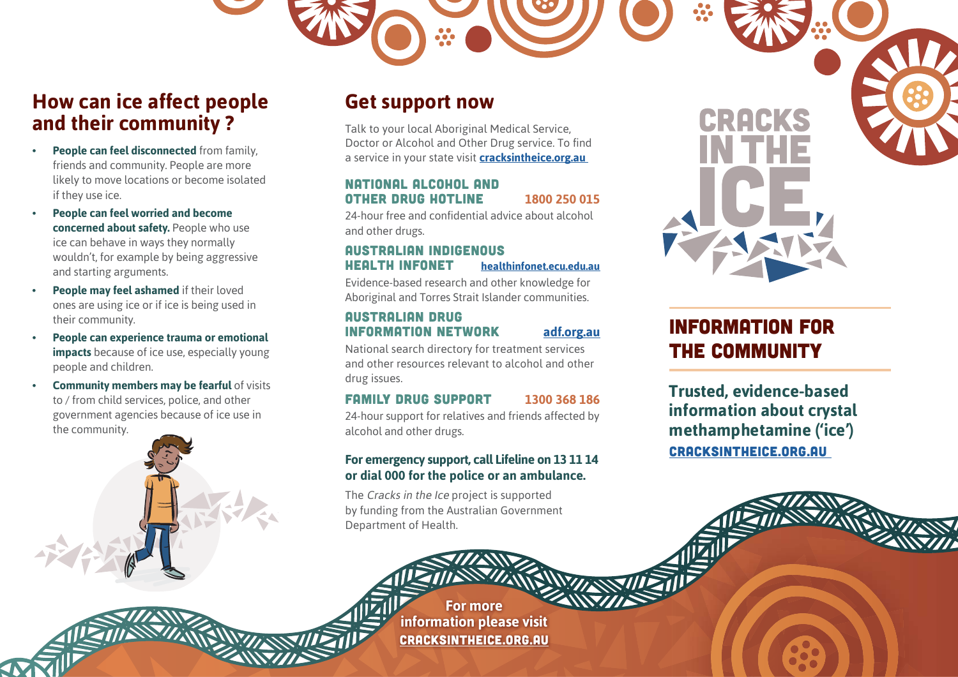## **How can ice affect people and their community ?**

- **• People can feel disconnected** from family, friends and community. People are more likely to move locations or become isolated if they use ice.
- **• People can feel worried and become concerned about safety.** People who use ice can behave in ways they normally wouldn't, for example by being aggressive and starting arguments.
- **• People may feel ashamed** if their loved ones are using ice or if ice is being used in their community.
- **• People can experience trauma or emotional impacts** because of ice use, especially young people and children.
- **Community members may be fearful of visits** to / from child services, police, and other government agencies because of ice use in the community.

### **Get support now**

Talk to your local Aboriginal Medical Service, Doctor or Alcohol and Other Drug service. To find a service in your state visit **[cracksintheice.org.au](https://cracksintheice.org.au/)**

#### NATIONAL ALCOHOL AND OTHER DRUG Hotline **1800 250 015**

24-hour free and confidential advice about alcohol and other drugs.

### AUSTRALIAN INDIGENOUS HEALTH INFONET **[healthinfonet.ecu.edu.au](https://healthinfonet.ecu.edu.au/)**

Evidence-based research and other knowledge for Aboriginal and Torres Strait Islander communities.

#### AUSTRALIAN DRUG INFORMATION NETWORK **[adf.org.au](https://adf.org.au/)**

National search directory for treatment services and other resources relevant to alcohol and other drug issues.

### FAMILY DRUG SUPPORT **1300 368 186**

24-hour support for relatives and friends affected by alcohol and other drugs.

#### **For emergency support, call Lifeline on 13 11 14 or dial 000 for the police or an ambulance.**

The Cracks in the Ice project is supported by funding from the Australian Government Department of Health.

> **For more information please visit** [CRACKSINTHEICE.ORG.AU](https://cracksintheice.org.au/)

## Information for the Community

**Trusted, evidence-based information about crystal methamphetamine ('ice')** [CRACKSINTHEICE.ORG.AU](https://cracksintheice.org.au/)